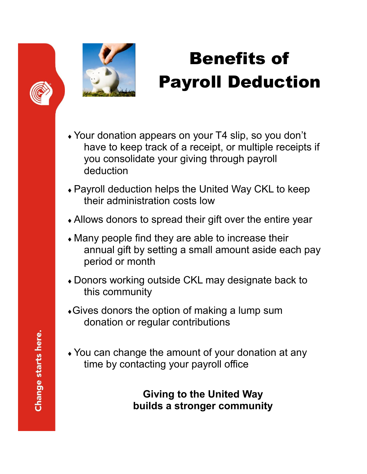



## Benefits of Payroll Deduction

- Your donation appears on your T4 slip, so you don't have to keep track of a receipt, or multiple receipts if you consolidate your giving through payroll deduction
- Payroll deduction helps the United Way CKL to keep their administration costs low
- Allows donors to spread their gift over the entire year
- Many people find they are able to increase their annual gift by setting a small amount aside each pay period or month
- Donors working outside CKL may designate back to this community
- Gives donors the option of making a lump sum donation or regular contributions
- You can change the amount of your donation at any time by contacting your payroll office

**Giving to the United Way builds a stronger community**